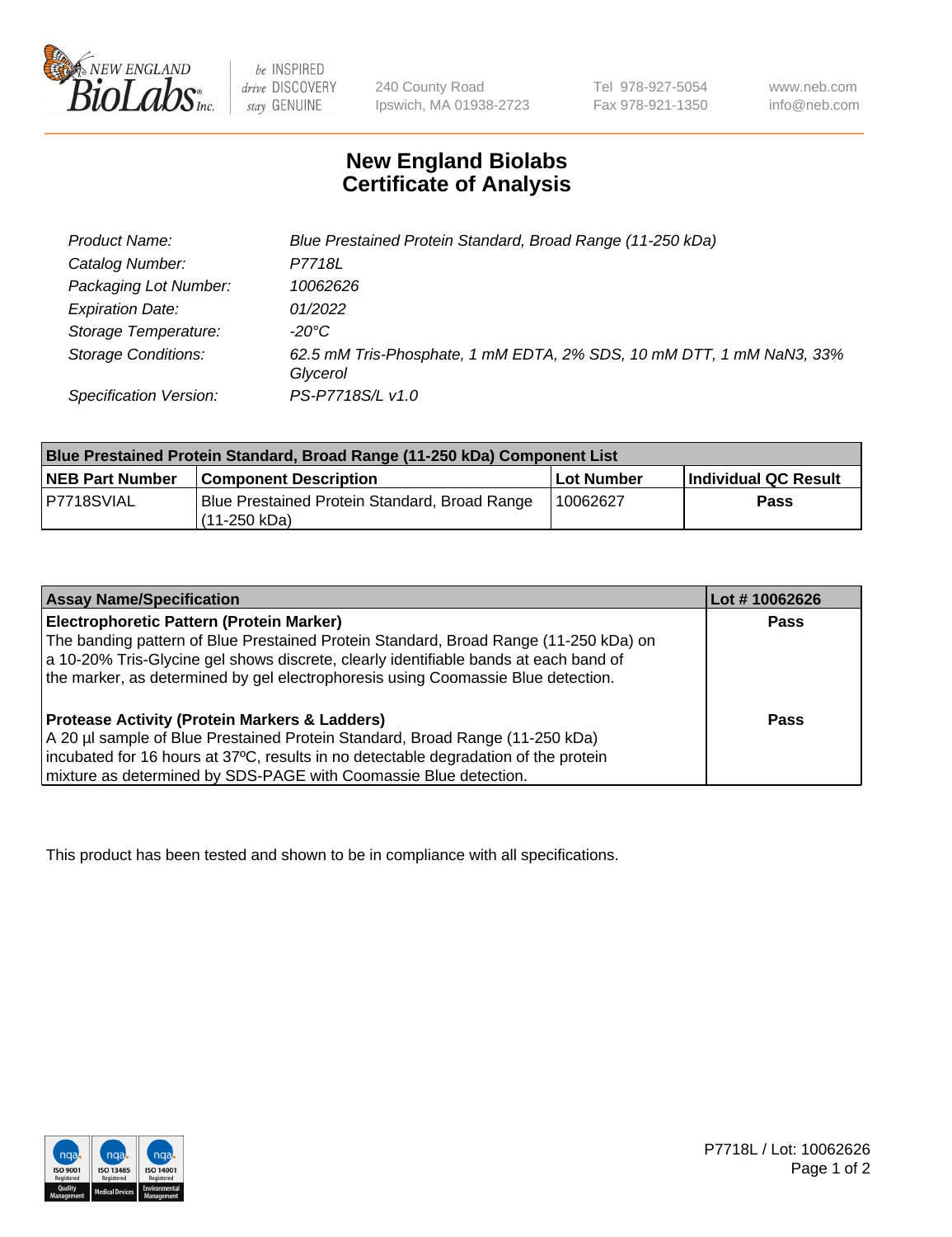

be INSPIRED drive DISCOVERY stay GENUINE

240 County Road Ipswich, MA 01938-2723 Tel 978-927-5054 Fax 978-921-1350

www.neb.com info@neb.com

## **New England Biolabs Certificate of Analysis**

| Product Name:              | Blue Prestained Protein Standard, Broad Range (11-250 kDa)                       |
|----------------------------|----------------------------------------------------------------------------------|
| Catalog Number:            | P7718L                                                                           |
| Packaging Lot Number:      | 10062626                                                                         |
| <b>Expiration Date:</b>    | 01/2022                                                                          |
| Storage Temperature:       | -20°C                                                                            |
| <b>Storage Conditions:</b> | 62.5 mM Tris-Phosphate, 1 mM EDTA, 2% SDS, 10 mM DTT, 1 mM NaN3, 33%<br>Glycerol |
| Specification Version:     | PS-P7718S/L v1.0                                                                 |

| Blue Prestained Protein Standard, Broad Range (11-250 kDa) Component List |                                                                 |              |                      |  |
|---------------------------------------------------------------------------|-----------------------------------------------------------------|--------------|----------------------|--|
| <b>NEB Part Number</b>                                                    | <b>Component Description</b>                                    | l Lot Number | Individual QC Result |  |
| P7718SVIAL                                                                | Blue Prestained Protein Standard, Broad Range<br>l (11-250 kDa) | 10062627     | <b>Pass</b>          |  |

| <b>Assay Name/Specification</b>                                                      | Lot #10062626 |
|--------------------------------------------------------------------------------------|---------------|
| <b>Electrophoretic Pattern (Protein Marker)</b>                                      | <b>Pass</b>   |
| The banding pattern of Blue Prestained Protein Standard, Broad Range (11-250 kDa) on |               |
| a 10-20% Tris-Glycine gel shows discrete, clearly identifiable bands at each band of |               |
| the marker, as determined by gel electrophoresis using Coomassie Blue detection.     |               |
|                                                                                      |               |
| <b>Protease Activity (Protein Markers &amp; Ladders)</b>                             | <b>Pass</b>   |
| A 20 µl sample of Blue Prestained Protein Standard, Broad Range (11-250 kDa)         |               |
| incubated for 16 hours at 37°C, results in no detectable degradation of the protein  |               |
| mixture as determined by SDS-PAGE with Coomassie Blue detection.                     |               |

This product has been tested and shown to be in compliance with all specifications.